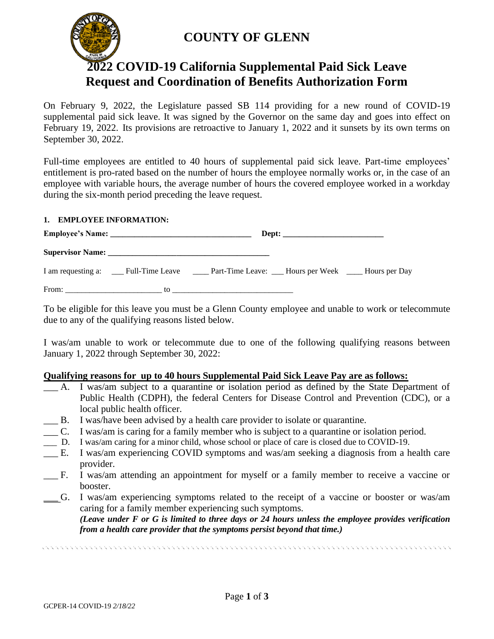

# **COUNTY OF GLENN**

# **2022 COVID-19 California Supplemental Paid Sick Leave Request and Coordination of Benefits Authorization Form**

On February 9, 2022, the Legislature passed SB 114 providing for a new round of COVID-19 supplemental paid sick leave. It was signed by the Governor on the same day and goes into effect on February 19, 2022. Its provisions are retroactive to January 1, 2022 and it sunsets by its own terms on September 30, 2022.

Full-time employees are entitled to 40 hours of supplemental paid sick leave. Part-time employees' entitlement is pro-rated based on the number of hours the employee normally works or, in the case of an employee with variable hours, the average number of hours the covered employee worked in a workday during the six-month period preceding the leave request.

## **1. EMPLOYEE INFORMATION:**

To be eligible for this leave you must be a Glenn County employee and unable to work or telecommute due to any of the qualifying reasons listed below.

I was/am unable to work or telecommute due to one of the following qualifying reasons between January 1, 2022 through September 30, 2022:

# **Qualifying reasons for up to 40 hours Supplemental Paid Sick Leave Pay are as follows:**

- \_\_\_ A. I was/am subject to a quarantine or isolation period as defined by the State Department of Public Health (CDPH), the federal Centers for Disease Control and Prevention (CDC), or a local public health officer.
- B. I was/have been advised by a health care provider to isolate or quarantine.
- \_\_\_ C. I was/am is caring for a family member who is subject to a quarantine or isolation period.
- \_\_\_ D. I was/am caring for a minor child, whose school or place of care is closed due to COVID-19.
- \_\_\_ E. I was/am experiencing COVID symptoms and was/am seeking a diagnosis from a health care provider.
- \_\_\_ F. I was/am attending an appointment for myself or a family member to receive a vaccine or booster.
- \_\_\_ G. I was/am experiencing symptoms related to the receipt of a vaccine or booster or was/am caring for a family member experiencing such symptoms.

*(Leave under F or G is limited to three days or 24 hours unless the employee provides verification from a health care provider that the symptoms persist beyond that time.)*

 $1.57$  ,  $1.57$  ,  $1.57$  ,  $1.57$  ,  $1.57$  ,  $1.57$  ,  $1.57$  ,  $1.57$  ,  $1.57$  ,  $1.57$  ,  $1.57$  ,  $1.57$  ,  $1.57$  ,  $1.57$  ,  $1.57$  ,  $1.57$  ,  $1.57$  ,  $1.57$  ,  $1.57$  ,  $1.57$  ,  $1.57$  ,  $1.57$  ,  $1.57$  ,  $1.57$  ,  $1.57$ 

GCPER-14 COVID-19 *2/18/22*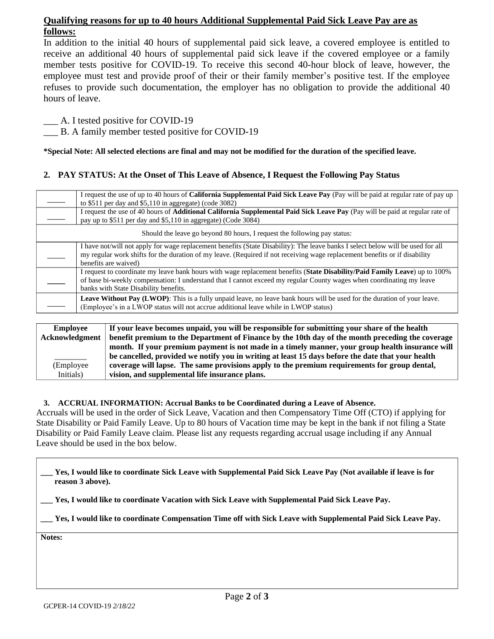# **Qualifying reasons for up to 40 hours Additional Supplemental Paid Sick Leave Pay are as follows:**

In addition to the initial 40 hours of supplemental paid sick leave, a covered employee is entitled to receive an additional 40 hours of supplemental paid sick leave if the covered employee or a family member tests positive for COVID-19. To receive this second 40-hour block of leave, however, the employee must test and provide proof of their or their family member's positive test. If the employee refuses to provide such documentation, the employer has no obligation to provide the additional 40 hours of leave.

A. I tested positive for COVID-19

B. A family member tested positive for COVID-19

**\*Special Note: All selected elections are final and may not be modified for the duration of the specified leave.**

## **2. PAY STATUS: At the Onset of This Leave of Absence, I Request the Following Pay Status**

|                                                                          | I request the use of up to 40 hours of <b>California Supplemental Paid Sick Leave Pay</b> (Pay will be paid at regular rate of pay up                                                                                                                                                 |  |  |  |
|--------------------------------------------------------------------------|---------------------------------------------------------------------------------------------------------------------------------------------------------------------------------------------------------------------------------------------------------------------------------------|--|--|--|
|                                                                          | to $$511$ per day and $$5,110$ in aggregate) (code 3082)                                                                                                                                                                                                                              |  |  |  |
|                                                                          | I request the use of 40 hours of Additional California Supplemental Paid Sick Leave Pay (Pay will be paid at regular rate of                                                                                                                                                          |  |  |  |
|                                                                          | pay up to \$511 per day and \$5,110 in aggregate) (Code 3084)                                                                                                                                                                                                                         |  |  |  |
| Should the leave go beyond 80 hours, I request the following pay status: |                                                                                                                                                                                                                                                                                       |  |  |  |
|                                                                          | I have not/will not apply for wage replacement benefits (State Disability): The leave banks I select below will be used for all<br>my regular work shifts for the duration of my leave. (Required if not receiving wage replacement benefits or if disability<br>benefits are waived) |  |  |  |
|                                                                          | I request to coordinate my leave bank hours with wage replacement benefits (State Disability/Paid Family Leave) up to 100%                                                                                                                                                            |  |  |  |
|                                                                          | of base bi-weekly compensation: I understand that I cannot exceed my regular County wages when coordinating my leave                                                                                                                                                                  |  |  |  |
|                                                                          | banks with State Disability benefits.                                                                                                                                                                                                                                                 |  |  |  |
|                                                                          | Leave Without Pay (LWOP): This is a fully unpaid leave, no leave bank hours will be used for the duration of your leave.                                                                                                                                                              |  |  |  |
|                                                                          | (Employee's in a LWOP status will not accrue additional leave while in LWOP status)                                                                                                                                                                                                   |  |  |  |
|                                                                          |                                                                                                                                                                                                                                                                                       |  |  |  |

#### **Employee Acknowledgment**  $\overline{\phantom{a}}$ (Employee Initials) **If your leave becomes unpaid, you will be responsible for submitting your share of the health benefit premium to the Department of Finance by the 10th day of the month preceding the coverage month. If your premium payment is not made in a timely manner, your group health insurance will be cancelled, provided we notify you in writing at least 15 days before the date that your health coverage will lapse. The same provisions apply to the premium requirements for group dental, vision, and supplemental life insurance plans.**

#### **3. ACCRUAL INFORMATION: Accrual Banks to be Coordinated during a Leave of Absence.**

Accruals will be used in the order of Sick Leave, Vacation and then Compensatory Time Off (CTO) if applying for State Disability or Paid Family Leave. Up to 80 hours of Vacation time may be kept in the bank if not filing a State Disability or Paid Family Leave claim. Please list any requests regarding accrual usage including if any Annual Leave should be used in the box below.

**\_\_\_ Yes, I would like to coordinate Sick Leave with Supplemental Paid Sick Leave Pay (Not available if leave is for reason 3 above).**

**\_\_\_ Yes, I would like to coordinate Vacation with Sick Leave with Supplemental Paid Sick Leave Pay.**

**\_\_\_ Yes, I would like to coordinate Compensation Time off with Sick Leave with Supplemental Paid Sick Leave Pay.**

**Notes:**